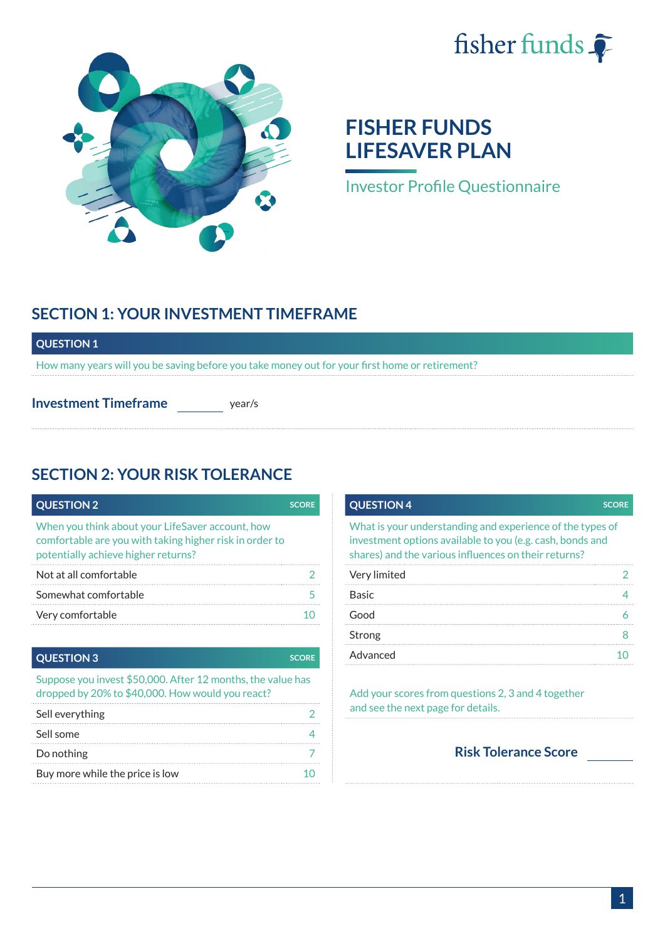



# **FISHER FUNDS LIFESAVER PLAN**

Investor Profile Questionnaire

## **SECTION 1: YOUR INVESTMENT TIMEFRAME**

#### **QUESTION 1**

How many years will you be saving before you take money out for your first home or retirement?

**Investment Timeframe** vear/s

## **SECTION 2: YOUR RISK TOLERANCE**

| <b>QUESTION 2</b>                                                                                                                                  | <b>SCORE</b> |
|----------------------------------------------------------------------------------------------------------------------------------------------------|--------------|
| When you think about your LifeSaver account, how<br>comfortable are you with taking higher risk in order to<br>potentially achieve higher returns? |              |
| Not at all comfortable                                                                                                                             |              |
| Somewhat comfortable                                                                                                                               |              |
| Very comfortable                                                                                                                                   |              |

#### **QUESTION 3** SCORE

Suppose you invest \$50,000. After 12 months, the value has dropped by 20% to \$40,000. How would you react?

| Sell everything                 |  |
|---------------------------------|--|
| Sell some                       |  |
| Do nothing                      |  |
| Buy more while the price is low |  |

| <b>QUESTION 4</b>                                                                                                                                                              | <b>SCORE</b> |
|--------------------------------------------------------------------------------------------------------------------------------------------------------------------------------|--------------|
| What is your understanding and experience of the types of<br>investment options available to you (e.g. cash, bonds and<br>shares) and the various influences on their returns? |              |
| Very limited                                                                                                                                                                   |              |
| <b>Basic</b>                                                                                                                                                                   |              |
| Good                                                                                                                                                                           |              |
| Strong                                                                                                                                                                         |              |
| Advanced                                                                                                                                                                       |              |

Add your scores from questions 2, 3 and 4 together and see the next page for details.

**Risk Tolerance Score**